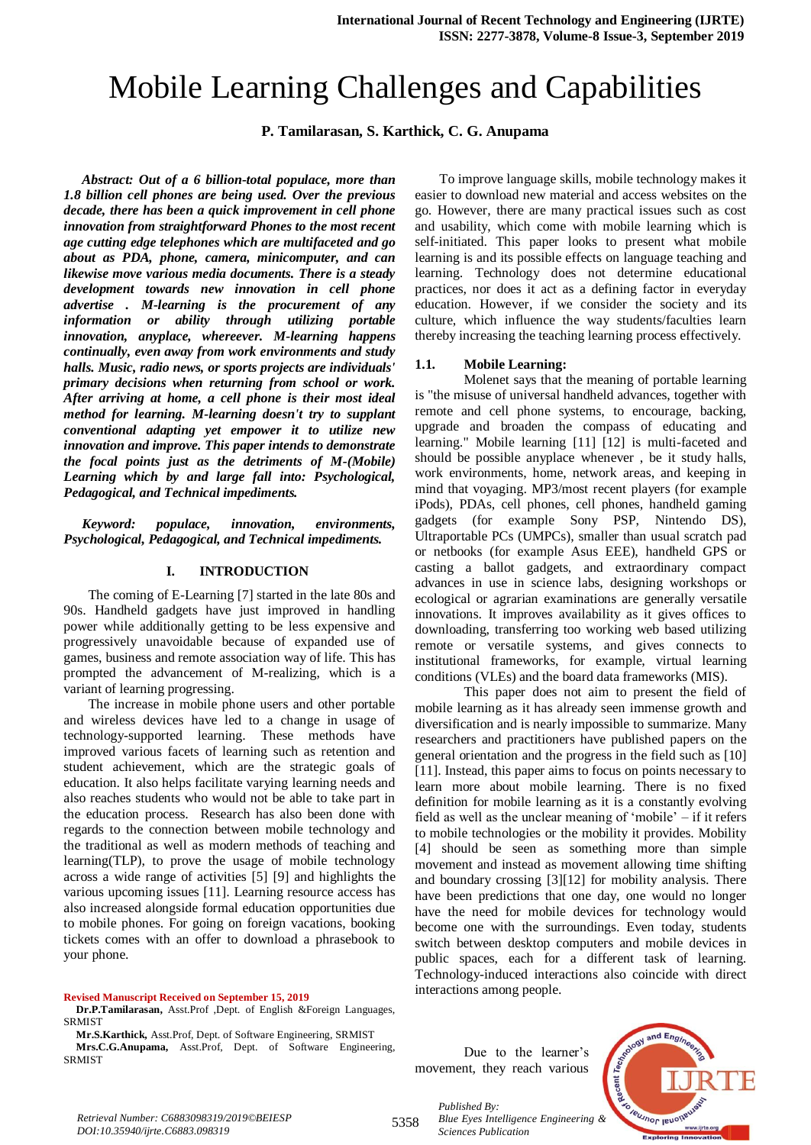# Mobile Learning Challenges and Capabilities

**P. Tamilarasan, S. Karthick, C. G. Anupama**

*Abstract: Out of a 6 billion-total populace, more than 1.8 billion cell phones are being used. Over the previous decade, there has been a quick improvement in cell phone innovation from straightforward Phones to the most recent age cutting edge telephones which are multifaceted and go about as PDA, phone, camera, minicomputer, and can likewise move various media documents. There is a steady development towards new innovation in cell phone advertise . M-learning is the procurement of any information or ability through utilizing portable innovation, anyplace, whereever. M-learning happens continually, even away from work environments and study halls. Music, radio news, or sports projects are individuals' primary decisions when returning from school or work. After arriving at home, a cell phone is their most ideal method for learning. M-learning doesn't try to supplant conventional adapting yet empower it to utilize new innovation and improve. This paper intends to demonstrate the focal points just as the detriments of M-(Mobile) Learning which by and large fall into: Psychological, Pedagogical, and Technical impediments.*

*Keyword: populace, innovation, environments, Psychological, Pedagogical, and Technical impediments.*

#### **I. INTRODUCTION**

The coming of E-Learning [7] started in the late 80s and 90s. Handheld gadgets have just improved in handling power while additionally getting to be less expensive and progressively unavoidable because of expanded use of games, business and remote association way of life. This has prompted the advancement of M-realizing, which is a variant of learning progressing.

The increase in mobile phone users and other portable and wireless devices have led to a change in usage of technology-supported learning. These methods have improved various facets of learning such as retention and student achievement, which are the strategic goals of education. It also helps facilitate varying learning needs and also reaches students who would not be able to take part in the education process. Research has also been done with regards to the connection between mobile technology and the traditional as well as modern methods of teaching and learning(TLP), to prove the usage of mobile technology across a wide range of activities [5] [9] and highlights the various upcoming issues [11]. Learning resource access has also increased alongside formal education opportunities due to mobile phones. For going on foreign vacations, booking tickets comes with an offer to download a phrasebook to your phone.

#### **Revised Manuscript Received on September 15, 2019**

**Dr.P.Tamilarasan,** Asst.Prof ,Dept. of English &Foreign Languages, SRMIST

**Mr.S.Karthick,** Asst.Prof, Dept. of Software Engineering, SRMIST **Mrs.C.G.Anupama,** Asst.Prof, Dept. of Software Engineering, SRMIST

To improve language skills, mobile technology makes it easier to download new material and access websites on the go. However, there are many practical issues such as cost and usability, which come with mobile learning which is self-initiated. This paper looks to present what mobile learning is and its possible effects on language teaching and learning. Technology does not determine educational practices, nor does it act as a defining factor in everyday education. However, if we consider the society and its culture, which influence the way students/faculties learn thereby increasing the teaching learning process effectively.

#### **1.1. Mobile Learning:**

Molenet says that the meaning of portable learning is "the misuse of universal handheld advances, together with remote and cell phone systems, to encourage, backing, upgrade and broaden the compass of educating and learning." Mobile learning [11] [12] is multi-faceted and should be possible anyplace whenever , be it study halls, work environments, home, network areas, and keeping in mind that voyaging. MP3/most recent players (for example iPods), PDAs, cell phones, cell phones, handheld gaming gadgets (for example Sony PSP, Nintendo DS), Ultraportable PCs (UMPCs), smaller than usual scratch pad or netbooks (for example Asus EEE), handheld GPS or casting a ballot gadgets, and extraordinary compact advances in use in science labs, designing workshops or ecological or agrarian examinations are generally versatile innovations. It improves availability as it gives offices to downloading, transferring too working web based utilizing remote or versatile systems, and gives connects to institutional frameworks, for example, virtual learning conditions (VLEs) and the board data frameworks (MIS).

This paper does not aim to present the field of mobile learning as it has already seen immense growth and diversification and is nearly impossible to summarize. Many researchers and practitioners have published papers on the general orientation and the progress in the field such as [10] [11]. Instead, this paper aims to focus on points necessary to learn more about mobile learning. There is no fixed definition for mobile learning as it is a constantly evolving field as well as the unclear meaning of 'mobile' – if it refers to mobile technologies or the mobility it provides. Mobility [4] should be seen as something more than simple movement and instead as movement allowing time shifting and boundary crossing [3][12] for mobility analysis. There have been predictions that one day, one would no longer have the need for mobile devices for technology would become one with the surroundings. Even today, students switch between desktop computers and mobile devices in public spaces, each for a different task of learning. Technology-induced interactions also coincide with direct interactions among people.

Due to the learner's movement, they reach various



*Retrieval Number: C6883098319/2019©BEIESP DOI:10.35940/ijrte.C6883.098319*

5358

*Published By: Blue Eyes Intelligence Engineering & Sciences Publication*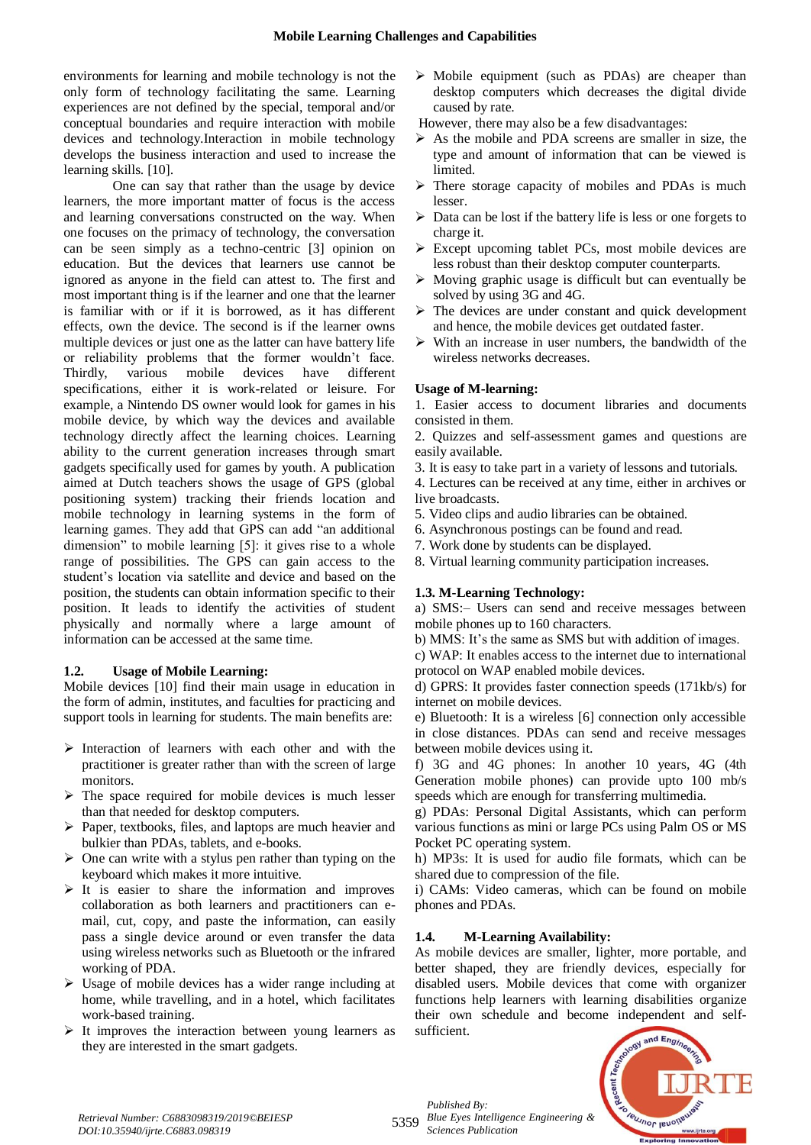environments for learning and mobile technology is not the only form of technology facilitating the same. Learning experiences are not defined by the special, temporal and/or conceptual boundaries and require interaction with mobile devices and technology.Interaction in mobile technology develops the business interaction and used to increase the learning skills. [10].

One can say that rather than the usage by device learners, the more important matter of focus is the access and learning conversations constructed on the way. When one focuses on the primacy of technology, the conversation can be seen simply as a techno-centric [3] opinion on education. But the devices that learners use cannot be ignored as anyone in the field can attest to. The first and most important thing is if the learner and one that the learner is familiar with or if it is borrowed, as it has different effects, own the device. The second is if the learner owns multiple devices or just one as the latter can have battery life or reliability problems that the former wouldn't face. Thirdly, various mobile devices have different specifications, either it is work-related or leisure. For example, a Nintendo DS owner would look for games in his mobile device, by which way the devices and available technology directly affect the learning choices. Learning ability to the current generation increases through smart gadgets specifically used for games by youth. A publication aimed at Dutch teachers shows the usage of GPS (global positioning system) tracking their friends location and mobile technology in learning systems in the form of learning games. They add that GPS can add "an additional dimension" to mobile learning [5]: it gives rise to a whole range of possibilities. The GPS can gain access to the student's location via satellite and device and based on the position, the students can obtain information specific to their position. It leads to identify the activities of student physically and normally where a large amount of information can be accessed at the same time.

## **1.2. Usage of Mobile Learning:**

Mobile devices [10] find their main usage in education in the form of admin, institutes, and faculties for practicing and support tools in learning for students. The main benefits are:

- $\triangleright$  Interaction of learners with each other and with the practitioner is greater rather than with the screen of large monitors.
- $\triangleright$  The space required for mobile devices is much lesser than that needed for desktop computers.
- $\triangleright$  Paper, textbooks, files, and laptops are much heavier and bulkier than PDAs, tablets, and e-books.
- $\triangleright$  One can write with a stylus pen rather than typing on the keyboard which makes it more intuitive.
- $\triangleright$  It is easier to share the information and improves collaboration as both learners and practitioners can email, cut, copy, and paste the information, can easily pass a single device around or even transfer the data using wireless networks such as Bluetooth or the infrared working of PDA.
- $\triangleright$  Usage of mobile devices has a wider range including at home, while travelling, and in a hotel, which facilitates work-based training.
- $\triangleright$  It improves the interaction between young learners as they are interested in the smart gadgets.

 $\triangleright$  Mobile equipment (such as PDAs) are cheaper than desktop computers which decreases the digital divide caused by rate.

However, there may also be a few disadvantages:

- $\triangleright$  As the mobile and PDA screens are smaller in size, the type and amount of information that can be viewed is limited.
- $\triangleright$  There storage capacity of mobiles and PDAs is much lesser.
- $\triangleright$  Data can be lost if the battery life is less or one forgets to charge it.
- $\triangleright$  Except upcoming tablet PCs, most mobile devices are less robust than their desktop computer counterparts.
- $\triangleright$  Moving graphic usage is difficult but can eventually be solved by using 3G and 4G.
- $\triangleright$  The devices are under constant and quick development and hence, the mobile devices get outdated faster.
- $\triangleright$  With an increase in user numbers, the bandwidth of the wireless networks decreases.

# **Usage of M-learning:**

1. Easier access to document libraries and documents consisted in them.

2. Quizzes and self-assessment games and questions are easily available.

3. It is easy to take part in a variety of lessons and tutorials.

4. Lectures can be received at any time, either in archives or live broadcasts.

- 5. Video clips and audio libraries can be obtained.
- 6. Asynchronous postings can be found and read.
- 7. Work done by students can be displayed.
- 8. Virtual learning community participation increases.

# **1.3. M-Learning Technology:**

a) SMS:– Users can send and receive messages between mobile phones up to 160 characters.

b) MMS: It's the same as SMS but with addition of images.

c) WAP: It enables access to the internet due to international protocol on WAP enabled mobile devices.

d) GPRS: It provides faster connection speeds (171kb/s) for internet on mobile devices.

e) Bluetooth: It is a wireless [6] connection only accessible in close distances. PDAs can send and receive messages between mobile devices using it.

f) 3G and 4G phones: In another 10 years, 4G (4th Generation mobile phones) can provide upto 100 mb/s speeds which are enough for transferring multimedia.

g) PDAs: Personal Digital Assistants, which can perform various functions as mini or large PCs using Palm OS or MS Pocket PC operating system.

h) MP3s: It is used for audio file formats, which can be shared due to compression of the file.

i) CAMs: Video cameras, which can be found on mobile phones and PDAs.

# **1.4. M-Learning Availability:**

As mobile devices are smaller, lighter, more portable, and better shaped, they are friendly devices, especially for disabled users. Mobile devices that come with organizer functions help learners with learning disabilities organize their own schedule and become independent and selfsufficient.



5359 *Blue Eyes Intelligence Engineering & Published By: Sciences Publication*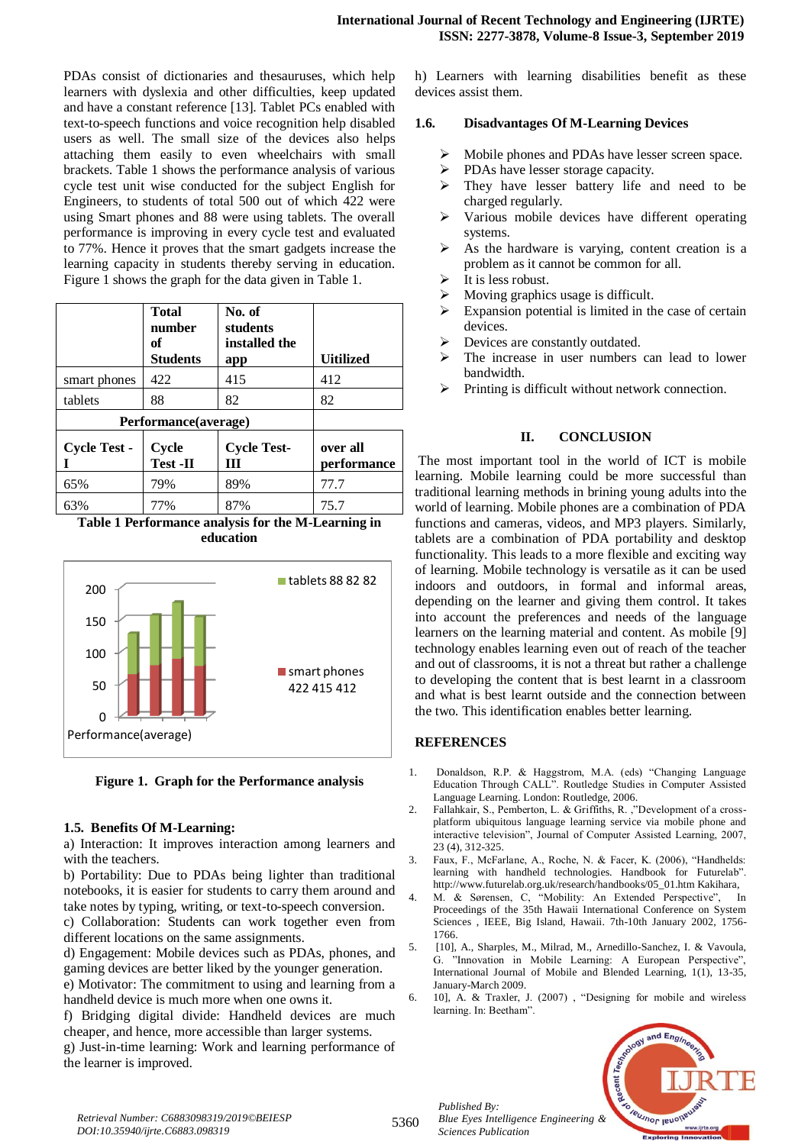PDAs consist of dictionaries and thesauruses, which help learners with dyslexia and other difficulties, keep updated and have a constant reference [13]. Tablet PCs enabled with text-to-speech functions and voice recognition help disabled users as well. The small size of the devices also helps attaching them easily to even wheelchairs with small brackets. Table 1 shows the performance analysis of various cycle test unit wise conducted for the subject English for Engineers, to students of total 500 out of which 422 were using Smart phones and 88 were using tablets. The overall performance is improving in every cycle test and evaluated to 77%. Hence it proves that the smart gadgets increase the learning capacity in students thereby serving in education. Figure 1 shows the graph for the data given in Table 1.

|                      | <b>Total</b><br>number<br>of<br><b>Students</b> | No. of<br>students<br>installed the<br>app | <b>Uitilized</b>        |
|----------------------|-------------------------------------------------|--------------------------------------------|-------------------------|
| smart phones         | 422                                             | 415                                        | 412                     |
| tablets              | 88                                              | 82                                         | 82                      |
| Performance(average) |                                                 |                                            |                         |
| <b>Cycle Test -</b>  | Cycle<br>Test -II                               | <b>Cycle Test-</b><br>Ш                    | over all<br>performance |
| 65%                  | 79%                                             | 89%                                        | 77.7                    |
| 63%                  | 77%                                             | 87%                                        | 75.7                    |

**Table 1 Performance analysis for the M-Learning in education**



**Figure 1. Graph for the Performance analysis**

## **1.5. Benefits Of M-Learning:**

a) Interaction: It improves interaction among learners and with the teachers.

b) Portability: Due to PDAs being lighter than traditional notebooks, it is easier for students to carry them around and take notes by typing, writing, or text-to-speech conversion.

c) Collaboration: Students can work together even from different locations on the same assignments.

d) Engagement: Mobile devices such as PDAs, phones, and gaming devices are better liked by the younger generation.

e) Motivator: The commitment to using and learning from a handheld device is much more when one owns it.

f) Bridging digital divide: Handheld devices are much cheaper, and hence, more accessible than larger systems. g) Just-in-time learning: Work and learning performance of the learner is improved.

h) Learners with learning disabilities benefit as these devices assist them.

# **1.6. Disadvantages Of M-Learning Devices**

- $\triangleright$  Mobile phones and PDAs have lesser screen space.
- $\triangleright$  PDAs have lesser storage capacity.<br> $\triangleright$  They have lesser battery life a
- They have lesser battery life and need to be charged regularly.
- Various mobile devices have different operating systems.
- As the hardware is varying, content creation is a problem as it cannot be common for all.
- It is less robust.
- Moving graphics usage is difficult.
- $\triangleright$  Expansion potential is limited in the case of certain devices.
- Devices are constantly outdated.
- The increase in user numbers can lead to lower bandwidth.
- Printing is difficult without network connection.

# **II. CONCLUSION**

The most important tool in the world of ICT is mobile learning. Mobile learning could be more successful than traditional learning methods in brining young adults into the world of learning. Mobile phones are a combination of PDA functions and cameras, videos, and MP3 players. Similarly, tablets are a combination of PDA portability and desktop functionality. This leads to a more flexible and exciting way of learning. Mobile technology is versatile as it can be used indoors and outdoors, in formal and informal areas, depending on the learner and giving them control. It takes into account the preferences and needs of the language learners on the learning material and content. As mobile [9] technology enables learning even out of reach of the teacher and out of classrooms, it is not a threat but rather a challenge to developing the content that is best learnt in a classroom and what is best learnt outside and the connection between the two. This identification enables better learning.

## **REFERENCES**

- 1. Donaldson, R.P. & Haggstrom, M.A. (eds) "Changing Language Education Through CALL". Routledge Studies in Computer Assisted Language Learning. London: Routledge, 2006.
- 2. Fallahkair, S., Pemberton, L. & Griffiths, R. ,"Development of a crossplatform ubiquitous language learning service via mobile phone and interactive television", Journal of Computer Assisted Learning, 2007, 23 (4), 312-325.
- 3. Faux, F., McFarlane, A., Roche, N. & Facer, K. (2006), "Handhelds: learning with handheld technologies. Handbook for Futurelab". http://www.futurelab.org.uk/research/handbooks/05\_01.htm Kakihara,
- 4. M. & Sørensen, C, "Mobility: An Extended Perspective", In Proceedings of the 35th Hawaii International Conference on System Sciences , IEEE, Big Island, Hawaii. 7th-10th January 2002, 1756- 1766.
- 5. [10], A., Sharples, M., Milrad, M., Arnedillo-Sanchez, I. & Vavoula, G. "Innovation in Mobile Learning: A European Perspective", International Journal of Mobile and Blended Learning, 1(1), 13-35, January-March 2009.
- 6. 10], A. & Traxler, J. (2007) , "Designing for mobile and wireless learning. In: Beetham".



*Retrieval Number: C6883098319/2019©BEIESP DOI:10.35940/ijrte.C6883.098319*

*Published By:*

*Sciences Publication*